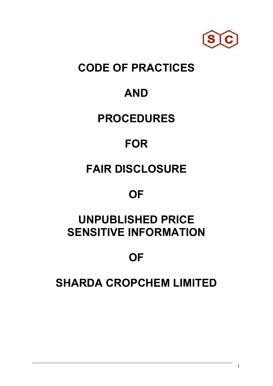

#### **CODE OF PRACTICES**

#### **AND**

#### **PROCEDURES**

# **FOR**

# **FAIR DISCLOSURE**

#### **OF**

### **UNPUBLISHED PRICE SENSITIVE INFORMATION**

## **OF**

#### **SHARDA CROPCHEM LIMITED**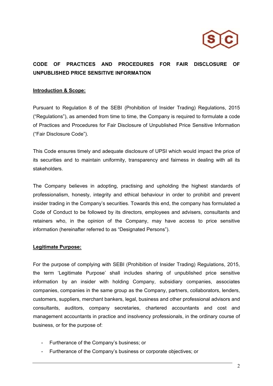

#### **CODE OF PRACTICES AND PROCEDURES FOR FAIR DISCLOSURE OF UNPUBLISHED PRICE SENSITIVE INFORMATION**

#### **Introduction & Scope:**

Pursuant to Regulation 8 of the SEBI (Prohibition of Insider Trading) Regulations, 2015 ("Regulations"), as amended from time to time, the Company is required to formulate a code of Practices and Procedures for Fair Disclosure of Unpublished Price Sensitive Information ("Fair Disclosure Code").

This Code ensures timely and adequate disclosure of UPSI which would impact the price of its securities and to maintain uniformity, transparency and fairness in dealing with all its stakeholders.

The Company believes in adopting, practising and upholding the highest standards of professionalism, honesty, integrity and ethical behaviour in order to prohibit and prevent insider trading in the Company's securities. Towards this end, the company has formulated a Code of Conduct to be followed by its directors, employees and advisers, consultants and retainers who, in the opinion of the Company, may have access to price sensitive information (hereinafter referred to as "Designated Persons").

#### **Legitimate Purpose:**

For the purpose of complying with SEBI (Prohibition of Insider Trading) Regulations, 2015, the term 'Legitimate Purpose' shall includes sharing of unpublished price sensitive information by an insider with holding Company, subsidiary companies, associates companies, companies in the same group as the Company, partners, collaborators, lenders, customers, suppliers, merchant bankers, legal, business and other professional advisors and consultants, auditors, company secretaries, chartered accountants and cost and management accountants in practice and insolvency professionals, in the ordinary course of business, or for the purpose of:

- Furtherance of the Company's business; or
- Furtherance of the Company's business or corporate objectives; or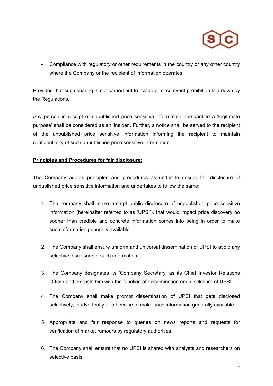

- Compliance with regulatory or other requirements in the country or any other country where the Company or the recipient of information operates

Provided that such sharing is not carried out to evade or circumvent prohibition laid down by the Regulations.

Any person in receipt of unpublished price sensitive information pursuant to a 'legitimate purpose' shall be considered as an 'insider'. Further, a notice shall be served to the recipient of the unpublished price sensitive information informing the recipient to maintain confidentiality of such unpublished price sensitive information.

#### **Principles and Procedures for fair disclosure:**

The Company adopts principles and procedures as under to ensure fair disclosure of unpublished price sensitive information and undertakes to follow the same:

- 1. The company shall make prompt public disclosure of unpublished price sensitive information (hereinafter referred to as 'UPSI'), that would impact price discovery no sooner than credible and concrete information comes into being in order to make such information generally available.
- 2. The Company shall ensure uniform and universal dissemination of UPSI to avoid any selective disclosure of such information.
- 3. The Company designates its 'Company Secretary' as its Chief Investor Relations Officer and entrusts him with the function of dissemination and disclosure of UPSI.
- 4. The Company shall make prompt dissemination of UPSI that gets disclosed selectively, inadvertently or otherwise to make such information generally available.
- 5. Appropriate and fair response to queries on news reports and requests for verification of market rumours by regulatory authorities.
- 6. The Company shall ensure that no UPSI is shared with analysts and researchers on selective basis.